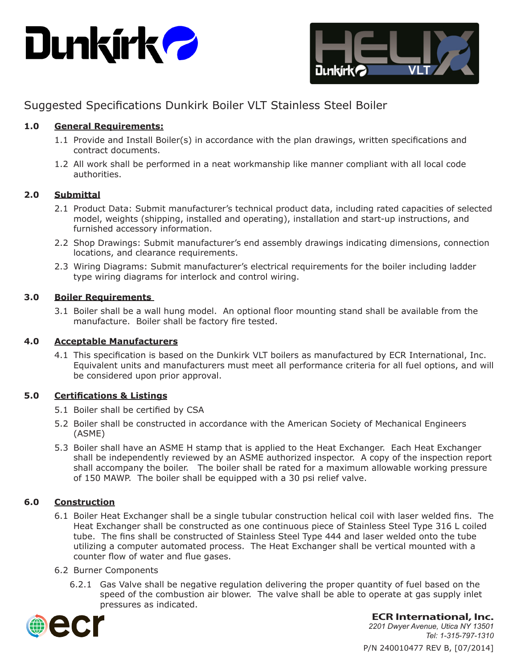



# Suggested Specifications Dunkirk Boiler VLT Stainless Steel Boiler

## **1.0 General Requirements:**

- 1.1 Provide and Install Boiler(s) in accordance with the plan drawings, written specifications and contract documents.
- 1.2 All work shall be performed in a neat workmanship like manner compliant with all local code authorities.

## **2.0 Submittal**

- 2.1 Product Data: Submit manufacturer's technical product data, including rated capacities of selected model, weights (shipping, installed and operating), installation and start-up instructions, and furnished accessory information.
- 2.2 Shop Drawings: Submit manufacturer's end assembly drawings indicating dimensions, connection locations, and clearance requirements.
- 2.3 Wiring Diagrams: Submit manufacturer's electrical requirements for the boiler including ladder type wiring diagrams for interlock and control wiring.

## **3.0 Boiler Requirements**

3.1 Boiler shall be a wall hung model. An optional floor mounting stand shall be available from the manufacture. Boiler shall be factory fire tested.

#### **4.0 Acceptable Manufacturers**

4.1 This specification is based on the Dunkirk VLT boilers as manufactured by ECR International, Inc. Equivalent units and manufacturers must meet all performance criteria for all fuel options, and will be considered upon prior approval.

## **5.0 Certifications & Listings**

- 5.1 Boiler shall be certified by CSA
- 5.2 Boiler shall be constructed in accordance with the American Society of Mechanical Engineers (ASME)
- 5.3 Boiler shall have an ASME H stamp that is applied to the Heat Exchanger. Each Heat Exchanger shall be independently reviewed by an ASME authorized inspector. A copy of the inspection report shall accompany the boiler. The boiler shall be rated for a maximum allowable working pressure of 150 MAWP. The boiler shall be equipped with a 30 psi relief valve.

## **6.0 Construction**

- 6.1 Boiler Heat Exchanger shall be a single tubular construction helical coil with laser welded fins. The Heat Exchanger shall be constructed as one continuous piece of Stainless Steel Type 316 L coiled tube. The fins shall be constructed of Stainless Steel Type 444 and laser welded onto the tube utilizing a computer automated process. The Heat Exchanger shall be vertical mounted with a counter flow of water and flue gases.
- 6.2 Burner Components
	- 6.2.1 Gas Valve shall be negative regulation delivering the proper quantity of fuel based on the speed of the combustion air blower. The valve shall be able to operate at gas supply inlet pressures as indicated.



**ECR International, Inc.**

P/N 240010477 REV B, [07/2014] *2201 Dwyer Avenue, Utica NY 13501 Tel: 1-315-797-1310*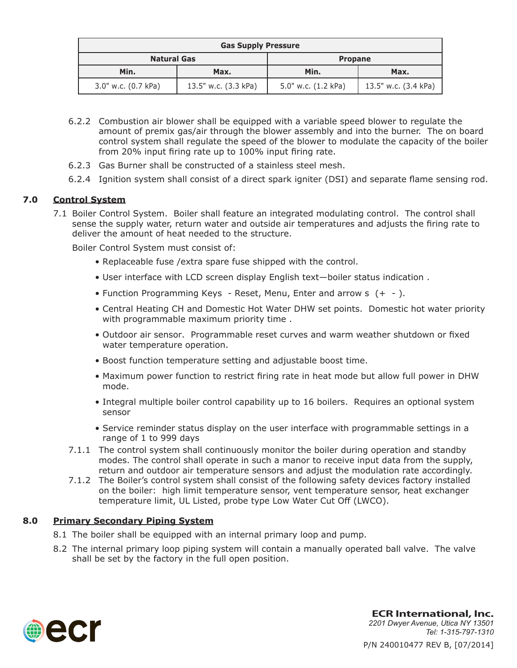| <b>Gas Supply Pressure</b> |                      |                     |                      |
|----------------------------|----------------------|---------------------|----------------------|
| <b>Natural Gas</b>         |                      | <b>Propane</b>      |                      |
| Min.                       | Max.                 | Min.                | Max.                 |
| 3.0" w.c. (0.7 kPa)        | 13.5" w.c. (3.3 kPa) | 5.0" w.c. (1.2 kPa) | 13.5" w.c. (3.4 kPa) |

- 6.2.2 Combustion air blower shall be equipped with a variable speed blower to regulate the amount of premix gas/air through the blower assembly and into the burner. The on board control system shall regulate the speed of the blower to modulate the capacity of the boiler from 20% input firing rate up to 100% input firing rate.
- 6.2.3 Gas Burner shall be constructed of a stainless steel mesh.
- 6.2.4 Ignition system shall consist of a direct spark igniter (DSI) and separate flame sensing rod.

## **7.0 Control System**

7.1 Boiler Control System. Boiler shall feature an integrated modulating control. The control shall sense the supply water, return water and outside air temperatures and adjusts the firing rate to deliver the amount of heat needed to the structure.

Boiler Control System must consist of:

- Replaceable fuse /extra spare fuse shipped with the control.
- User interface with LCD screen display English text—boiler status indication .
- Function Programming Keys Reset, Menu, Enter and arrow s (+ ).
- Central Heating CH and Domestic Hot Water DHW set points. Domestic hot water priority with programmable maximum priority time .
- Outdoor air sensor. Programmable reset curves and warm weather shutdown or fixed water temperature operation.
- Boost function temperature setting and adjustable boost time.
- Maximum power function to restrict firing rate in heat mode but allow full power in DHW mode.
- Integral multiple boiler control capability up to 16 boilers. Requires an optional system sensor
- Service reminder status display on the user interface with programmable settings in a range of 1 to 999 days
- 7.1.1 The control system shall continuously monitor the boiler during operation and standby modes. The control shall operate in such a manor to receive input data from the supply, return and outdoor air temperature sensors and adjust the modulation rate accordingly.
- 7.1.2 The Boiler's control system shall consist of the following safety devices factory installed on the boiler: high limit temperature sensor, vent temperature sensor, heat exchanger temperature limit, UL Listed, probe type Low Water Cut Off (LWCO).

#### **8.0 Primary Secondary Piping System**

- 8.1 The boiler shall be equipped with an internal primary loop and pump.
- 8.2 The internal primary loop piping system will contain a manually operated ball valve. The valve shall be set by the factory in the full open position.



P/N 240010477 REV B, [07/2014] **ECR International, Inc.** *2201 Dwyer Avenue, Utica NY 13501 Tel: 1-315-797-1310*